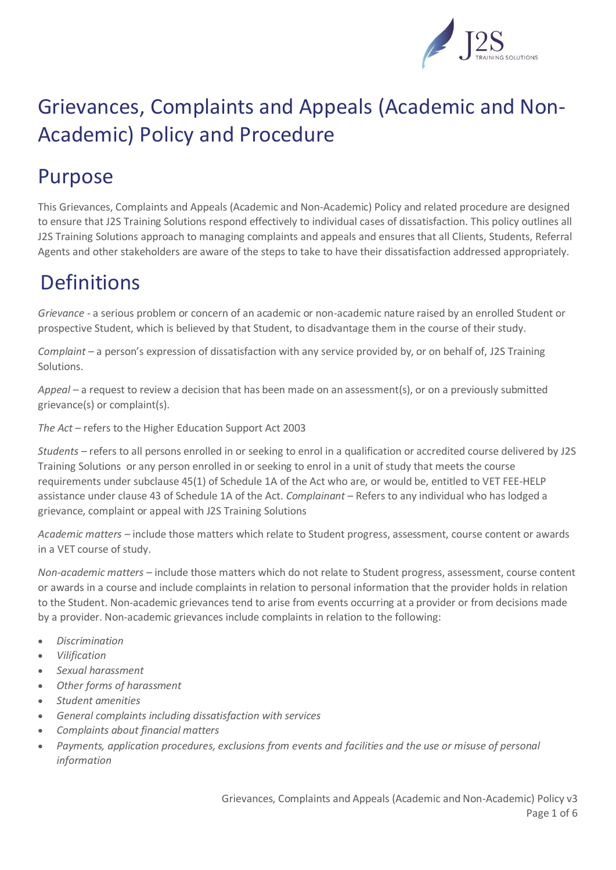

## Purpose

This Grievances, Complaints and Appeals (Academic and Non-Academic) Policy and related procedure are designed to ensure that J2S Training Solutions respond effectively to individual cases of dissatisfaction. This policy outlines all J2S Training Solutions approach to managing complaints and appeals and ensures that all Clients, Students, Referral Agents and other stakeholders are aware of the steps to take to have their dissatisfaction addressed appropriately.

# **Definitions**

*Grievance -* a serious problem or concern of an academic or non-academic nature raised by an enrolled Student or prospective Student, which is believed by that Student, to disadvantage them in the course of their study.

*Complaint* – a person's expression of dissatisfaction with any service provided by, or on behalf of, J2S Training Solutions.

*Appeal* – a request to review a decision that has been made on an assessment(s), or on a previously submitted grievance(s) or complaint(s).

*The Act* – refers to the Higher Education Support Act 2003

*Students –* refers to all persons enrolled in or seeking to enrol in a qualification or accredited course delivered by J2S Training Solutions or any person enrolled in or seeking to enrol in a unit of study that meets the course requirements under subclause 45(1) of Schedule 1A of the Act who are, or would be, entitled to VET FEE-HELP assistance under clause 43 of Schedule 1A of the Act. *Complainant* – Refers to any individual who has lodged a grievance, complaint or appeal with J2S Training Solutions

*Academic matters –* include those matters which relate to Student progress, assessment, course content or awards in a VET course of study.

*Non-academic matters –* include those matters which do not relate to Student progress, assessment, course content or awards in a course and include complaints in relation to personal information that the provider holds in relation to the Student. Non-academic grievances tend to arise from events occurring at a provider or from decisions made by a provider. Non-academic grievances include complaints in relation to the following:

- *Discrimination*
- *Vilification*
- *Sexual harassment*
- *Other forms of harassment*
- *Student amenities*
- *General complaints including dissatisfaction with services*
- *Complaints about financial matters*
- *Payments, application procedures, exclusions from events and facilities and the use or misuse of personal information*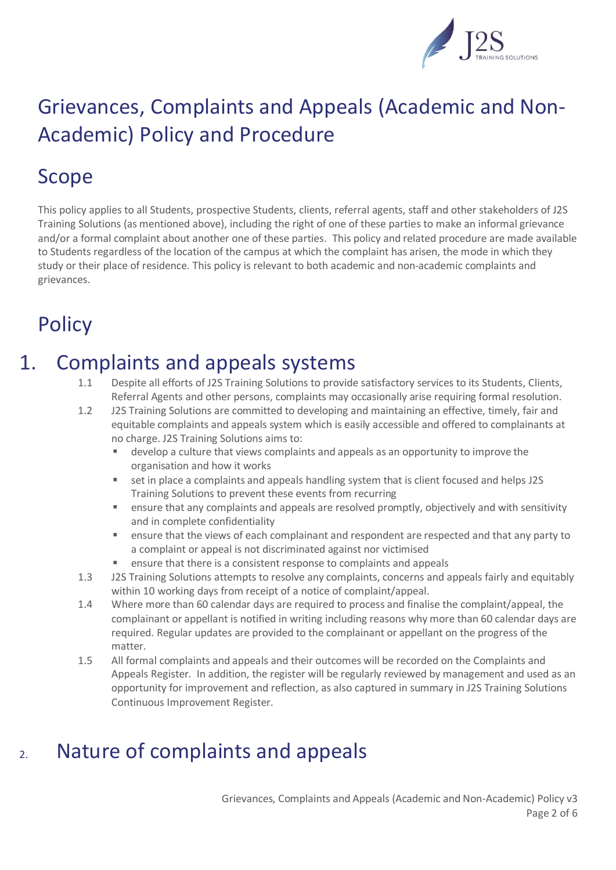

## Scope

This policy applies to all Students, prospective Students, clients, referral agents, staff and other stakeholders of J2S Training Solutions (as mentioned above), including the right of one of these parties to make an informal grievance and/or a formal complaint about another one of these parties. This policy and related procedure are made available to Students regardless of the location of the campus at which the complaint has arisen, the mode in which they study or their place of residence. This policy is relevant to both academic and non-academic complaints and grievances.

## **Policy**

#### 1. Complaints and appeals systems

- 1.1 Despite all efforts of J2S Training Solutions to provide satisfactory services to its Students, Clients, Referral Agents and other persons, complaints may occasionally arise requiring formal resolution.
- 1.2 J2S Training Solutions are committed to developing and maintaining an effective, timely, fair and equitable complaints and appeals system which is easily accessible and offered to complainants at no charge. J2S Training Solutions aims to:
	- develop a culture that views complaints and appeals as an opportunity to improve the organisation and how it works
	- set in place a complaints and appeals handling system that is client focused and helps J2S Training Solutions to prevent these events from recurring
	- **E** ensure that any complaints and appeals are resolved promptly, objectively and with sensitivity and in complete confidentiality
	- **EXECT** ensure that the views of each complainant and respondent are respected and that any party to a complaint or appeal is not discriminated against nor victimised
	- ensure that there is a consistent response to complaints and appeals
- 1.3 J2S Training Solutions attempts to resolve any complaints, concerns and appeals fairly and equitably within 10 working days from receipt of a notice of complaint/appeal.
- 1.4 Where more than 60 calendar days are required to process and finalise the complaint/appeal, the complainant or appellant is notified in writing including reasons why more than 60 calendar days are required. Regular updates are provided to the complainant or appellant on the progress of the matter.
- 1.5 All formal complaints and appeals and their outcomes will be recorded on the Complaints and Appeals Register. In addition, the register will be regularly reviewed by management and used as an opportunity for improvement and reflection, as also captured in summary in J2S Training Solutions Continuous Improvement Register.

## 2. Nature of complaints and appeals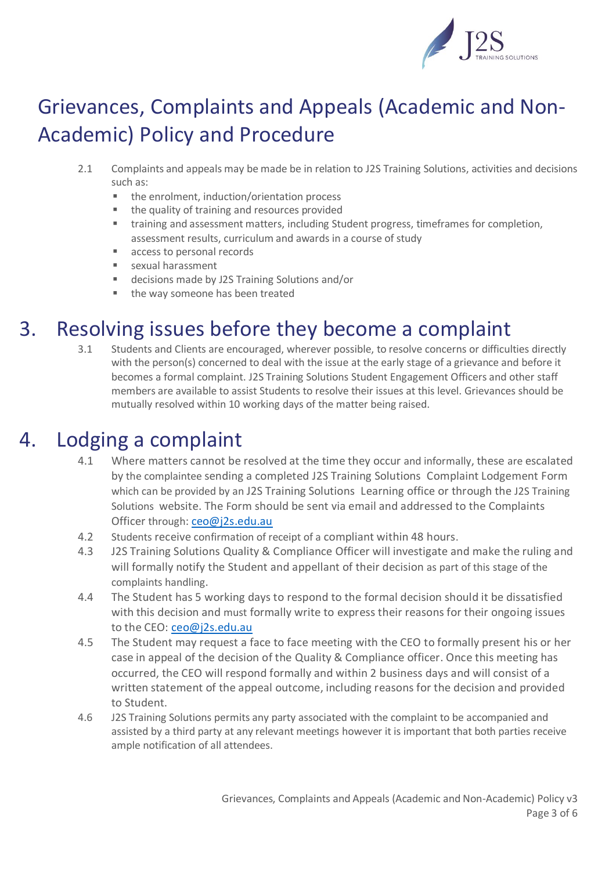

- 2.1 Complaints and appeals may be made be in relation to J2S Training Solutions, activities and decisions such as:
	- the enrolment, induction/orientation process
	- the quality of training and resources provided
	- training and assessment matters, including Student progress, timeframes for completion, assessment results, curriculum and awards in a course of study
	- access to personal records
	- **Example 1** sexual harassment
	- decisions made by J2S Training Solutions and/or
	- the way someone has been treated

#### 3. Resolving issues before they become a complaint

3.1 Students and Clients are encouraged, wherever possible, to resolve concerns or difficulties directly with the person(s) concerned to deal with the issue at the early stage of a grievance and before it becomes a formal complaint. J2S Training Solutions Student Engagement Officers and other staff members are available to assist Students to resolve their issues at this level. Grievances should be mutually resolved within 10 working days of the matter being raised.

### 4. Lodging a complaint

- 4.1 Where matters cannot be resolved at the time they occur and informally, these are escalated by the complaintee sending a completed J2S Training Solutions Complaint Lodgement Form which can be provided by an J2S Training Solutions Learning office or through the J2S Training Solutions website. The Form should be sent via email and addressed to the Complaints Officer through: [ceo@j2s.edu.au](mailto:ceo@j2s.edu.au)
- 4.2 Students receive confirmation of receipt of a compliant within 48 hours.
- 4.3 J2S Training Solutions Quality & Compliance Officer will investigate and make the ruling and will formally notify the Student and appellant of their decision as part of this stage of the complaints handling.
- 4.4 The Student has 5 working days to respond to the formal decision should it be dissatisfied with this decision and must formally write to express their reasons for their ongoing issues to the CEO: [ceo@j2s.edu.au](mailto:ceo@j2s.edu.au)
- 4.5 The Student may request a face to face meeting with the CEO to formally present his or her case in appeal of the decision of the Quality & Compliance officer. Once this meeting has occurred, the CEO will respond formally and within 2 business days and will consist of a written statement of the appeal outcome, including reasons for the decision and provided to Student.
- 4.6 J2S Training Solutions permits any party associated with the complaint to be accompanied and assisted by a third party at any relevant meetings however it is important that both parties receive ample notification of all attendees.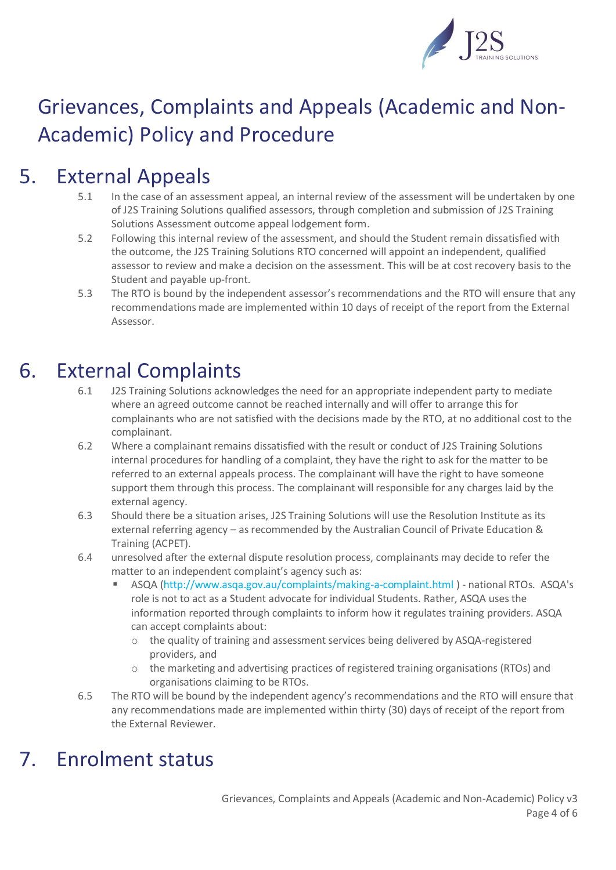

## 5. External Appeals

- 5.1 In the case of an assessment appeal, an internal review of the assessment will be undertaken by one of J2S Training Solutions qualified assessors, through completion and submission of J2S Training Solutions Assessment outcome appeal lodgement form.
- 5.2 Following this internal review of the assessment, and should the Student remain dissatisfied with the outcome, the J2S Training Solutions RTO concerned will appoint an independent, qualified assessor to review and make a decision on the assessment. This will be at cost recovery basis to the Student and payable up-front.
- 5.3 The RTO is bound by the independent assessor's recommendations and the RTO will ensure that any recommendations made are implemented within 10 days of receipt of the report from the External Assessor.

## 6. External Complaints

- 6.1 J2S Training Solutions acknowledges the need for an appropriate independent party to mediate where an agreed outcome cannot be reached internally and will offer to arrange this for complainants who are not satisfied with the decisions made by the RTO, at no additional cost to the complainant.
- 6.2 Where a complainant remains dissatisfied with the result or conduct of J2S Training Solutions internal procedures for handling of a complaint, they have the right to ask for the matter to be referred to an external appeals process. The complainant will have the right to have someone support them through this process. The complainant will responsible for any charges laid by the external agency.
- 6.3 Should there be a situation arises, J2S Training Solutions will use the Resolution Institute as its external referring agency – as recommended by the Australian Council of Private Education & Training (ACPET).
- 6.4 unresolved after the external dispute resolution process, complainants may decide to refer the matter to an independent complaint's agency such as:
	- ASQA [\(http://www.asqa.gov.au/complaints/making-a-complaint.html](http://www.asqa.gov.au/complaints/making-a-complaint.html) ) national RTOs. ASQA's role is not to act as a Student advocate for individual Students. Rather, ASQA uses the information reported through complaints to inform how it regulates training providers. ASQA can accept complaints about:
		- $\circ$  the quality of training and assessment services being delivered by ASQA-registered providers, and
		- o the marketing and advertising practices of registered training organisations (RTOs) and organisations claiming to be RTOs.
- 6.5 The RTO will be bound by the independent agency's recommendations and the RTO will ensure that any recommendations made are implemented within thirty (30) days of receipt of the report from the External Reviewer.

## 7. Enrolment status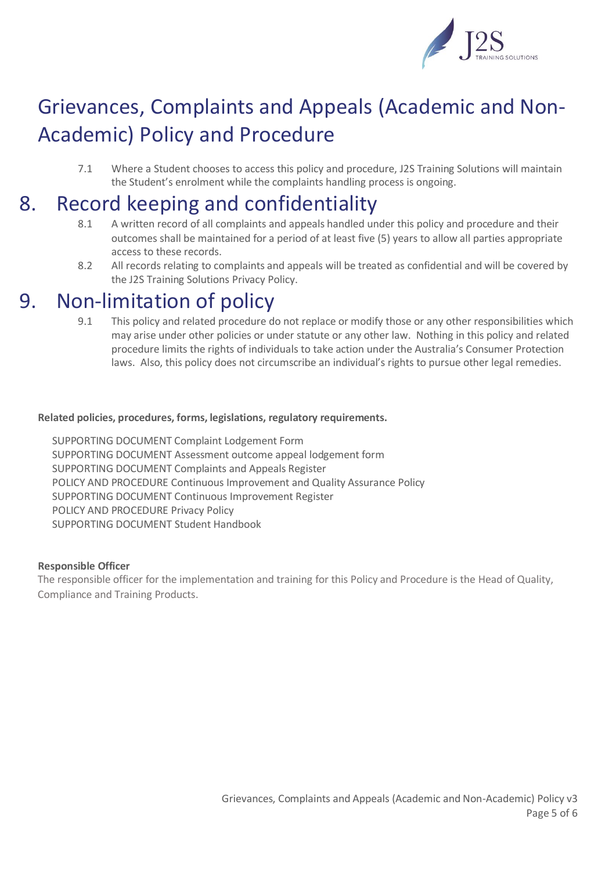

7.1 Where a Student chooses to access this policy and procedure, J2S Training Solutions will maintain the Student's enrolment while the complaints handling process is ongoing.

## 8. Record keeping and confidentiality

- 8.1 A written record of all complaints and appeals handled under this policy and procedure and their outcomes shall be maintained for a period of at least five (5) years to allow all parties appropriate access to these records.
- 8.2 All records relating to complaints and appeals will be treated as confidential and will be covered by the J2S Training Solutions Privacy Policy.

#### 9. Non-limitation of policy

9.1 This policy and related procedure do not replace or modify those or any other responsibilities which may arise under other policies or under statute or any other law. Nothing in this policy and related procedure limits the rights of individuals to take action under the Australia's Consumer Protection laws. Also, this policy does not circumscribe an individual's rights to pursue other legal remedies.

#### **Related policies, procedures, forms, legislations, regulatory requirements.**

SUPPORTING DOCUMENT Complaint Lodgement Form SUPPORTING DOCUMENT Assessment outcome appeal lodgement form SUPPORTING DOCUMENT Complaints and Appeals Register POLICY AND PROCEDURE Continuous Improvement and Quality Assurance Policy SUPPORTING DOCUMENT Continuous Improvement Register POLICY AND PROCEDURE Privacy Policy SUPPORTING DOCUMENT Student Handbook

#### **Responsible Officer**

The responsible officer for the implementation and training for this Policy and Procedure is the Head of Quality, Compliance and Training Products.